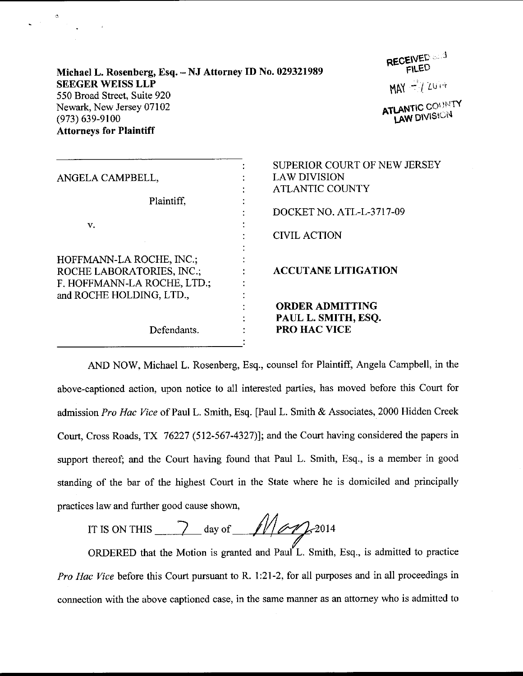| Michael L. Rosenberg, Esq. - NJ Attorney ID No. 029321989 |
|-----------------------------------------------------------|
| <b>SEEGER WEISS LLP</b>                                   |
| 550 Broad Street, Suite 920                               |
| Newark, New Jersey 07102                                  |
| $(973) 639 - 9100$                                        |
| <b>Attorneys for Plaintiff</b>                            |

 $\Delta \phi$ 

RECEIVED

 $MN = I$  zu  $\cdot$ 

**ATLANTIC COUNTY**<br>LAW DIVISION

| ANGELA CAMPBELL,                                                                                                 | SUPERIOR COURT OF NEW JERSEY<br><b>LAW DIVISION</b><br><b>ATLANTIC COUNTY</b> |
|------------------------------------------------------------------------------------------------------------------|-------------------------------------------------------------------------------|
| Plaintiff,<br>v.                                                                                                 | DOCKET NO. ATL-L-3717-09<br><b>CIVIL ACTION</b>                               |
| HOFFMANN-LA ROCHE, INC.;<br>ROCHE LABORATORIES, INC.;<br>F. HOFFMANN-LA ROCHE, LTD.;<br>and ROCHE HOLDING, LTD., | <b>ACCUTANE LITIGATION</b>                                                    |
| Defendants.                                                                                                      | <b>ORDER ADMITTING</b><br>PAUL L. SMITH, ESQ.<br><b>PRO HAC VICE</b>          |

AND NOW, Michael L. Rosenberg, Esq., counsel for Plaintiff, Angela Campbell, in the above-captioned action, upon notice to all interested parties, has moved before this Court for admission Pro Hac Vice of Paul L. Smith, Esq. [Paul L. Smith & Associates, 2000 Hidden Creek Court, Cross Roads, TX 76227 (512-567 -4327)): and the Court having considered the papers in support thereof; and the Court having found that Paul L. Smith, Esq., is a member in good standing of the bar of the highest Court in the State where he is domiciled and principally practices law and further good cause shown,

IT IS ON THIS  $\frac{1}{2}$  day of  $\frac{1}{2}$   $\frac{1}{2}$  2014

ORDERED that the Motion is granted and Paul L. Smith, Esq., is admitted to practice Pro Hac Vice before this Court pursuant to R. 1:21-2, for all purposes and in all proceedings in connection with the above captioned case, in the same manner as an attorney who is admitted to